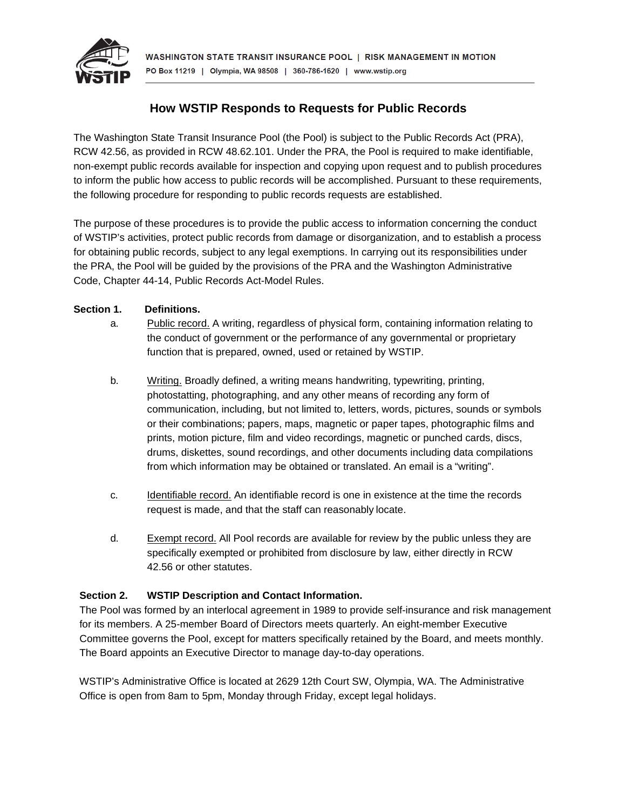

# **How WSTIP Responds to Requests for Public Records**

The Washington State Transit Insurance Pool (the Pool) is subject to the Public Records Act (PRA), RCW 42.56, as provided in RCW 48.62.101. Under the PRA, the Pool is required to make identifiable, non-exempt public records available for inspection and copying upon request and to publish procedures to inform the public how access to public records will be accomplished. Pursuant to these requirements, the following procedure for responding to public records requests are established.

The purpose of these procedures is to provide the public access to information concerning the conduct of WSTIP's activities, protect public records from damage or disorganization, and to establish a process for obtaining public records, subject to any legal exemptions. In carrying out its responsibilities under the PRA, the Pool will be guided by the provisions of the PRA and the Washington Administrative Code, Chapter 44-14, Public Records Act-Model Rules.

# **Section 1. Definitions.**

- a. Public record. A writing, regardless of physical form, containing information relating to the conduct of government or the performance of any governmental or proprietary function that is prepared, owned, used or retained by WSTIP.
- b. Writing. Broadly defined, a writing means handwriting, typewriting, printing, photostatting, photographing, and any other means of recording any form of communication, including, but not limited to, letters, words, pictures, sounds or symbols or their combinations; papers, maps, magnetic or paper tapes, photographic films and prints, motion picture, film and video recordings, magnetic or punched cards, discs, drums, diskettes, sound recordings, and other documents including data compilations from which information may be obtained or translated. An email is a "writing".
- c. Identifiable record. An identifiable record is one in existence at the time the records request is made, and that the staff can reasonably locate.
- d. Exempt record. All Pool records are available for review by the public unless they are specifically exempted or prohibited from disclosure by law, either directly in RCW 42.56 or other statutes.

# **Section 2. WSTIP Description and Contact Information.**

The Pool was formed by an interlocal agreement in 1989 to provide self-insurance and risk management for its members. A 25-member Board of Directors meets quarterly. An eight-member Executive Committee governs the Pool, except for matters specifically retained by the Board, and meets monthly. The Board appoints an Executive Director to manage day-to-day operations.

WSTIP's Administrative Office is located at 2629 12th Court SW, Olympia, WA. The Administrative Office is open from 8am to 5pm, Monday through Friday, except legal holidays.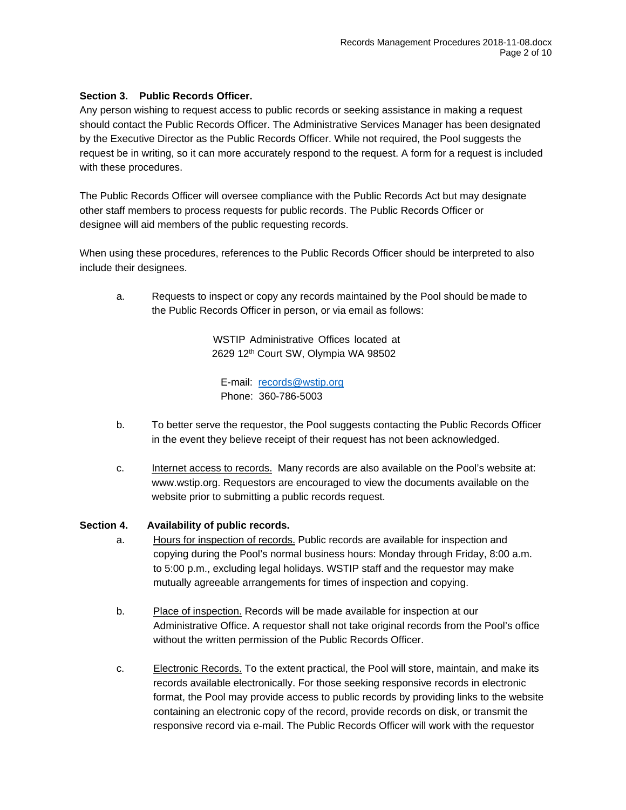## **Section 3. Public Records Officer.**

Any person wishing to request access to public records or seeking assistance in making a request should contact the Public Records Officer. The Administrative Services Manager has been designated by the Executive Director as the Public Records Officer. While not required, the Pool suggests the request be in writing, so it can more accurately respond to the request. A form for a request is included with these procedures.

The Public Records Officer will oversee compliance with the Public Records Act but may designate other staff members to process requests for public records. The Public Records Officer or designee will aid members of the public requesting records.

When using these procedures, references to the Public Records Officer should be interpreted to also include their designees.

a. Requests to inspect or copy any records maintained by the Pool should be made to the Public Records Officer in person, or via email as follows:

> WSTIP Administrative Offices located at 2629 12<sup>th</sup> Court SW, Olympia WA 98502

E-mail: [records@wstip.org](mailto:records@wstip.org) Phone: 360-786-5003

- b. To better serve the requestor, the Pool suggests contacting the Public Records Officer in the event they believe receipt of their request has not been acknowledged.
- c. Internet access to records. Many records are also available on the Pool's website at: [www.wstip.org.](https://www.wstip.org/page/publicrecords) Requestors are encouraged to view the documents available on the website prior to submitting a public records request.

#### **Section 4. Availability of public records.**

- a. Hours for inspection of records. Public records are available for inspection and copying during the Pool's normal business hours: Monday through Friday, 8:00 a.m. to 5:00 p.m., excluding legal holidays. WSTIP staff and the requestor may make mutually agreeable arrangements for times of inspection and copying.
- b. Place of inspection. Records will be made available for inspection at our Administrative Office. A requestor shall not take original records from the Pool's office without the written permission of the Public Records Officer.
- c. Electronic Records. To the extent practical, the Pool will store, maintain, and make its records available electronically. For those seeking responsive records in electronic format, the Pool may provide access to public records by providing links to the website containing an electronic copy of the record, provide records on disk, or transmit the responsive record via e-mail. The Public Records Officer will work with the requestor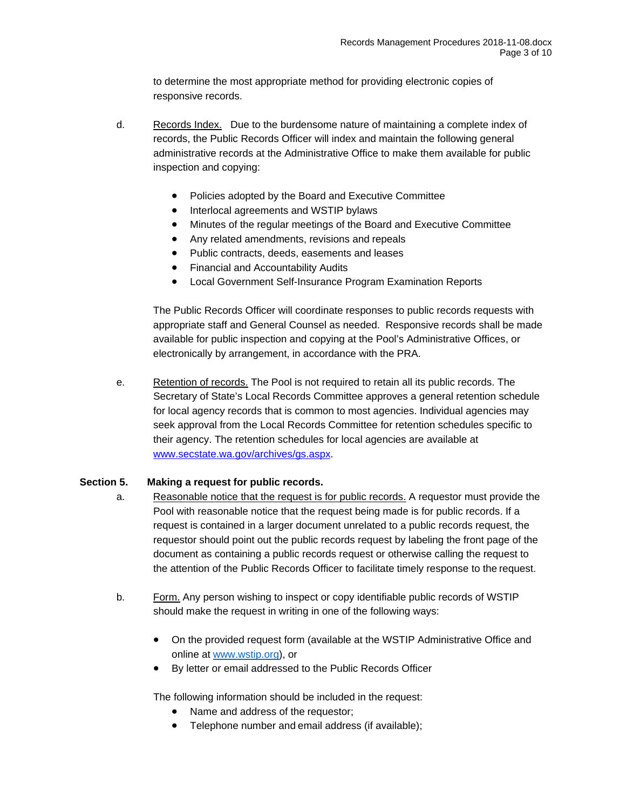to determine the most appropriate method for providing electronic copies of responsive records.

- d. Records Index. Due to the burdensome nature of maintaining a complete index of records, the Public Records Officer will index and maintain the following general administrative records at the Administrative Office to make them available for public inspection and copying:
	- Policies adopted by the Board and Executive Committee
	- Interlocal agreements and WSTIP bylaws
	- Minutes of the regular meetings of the Board and Executive Committee
	- Any related amendments, revisions and repeals
	- Public contracts, deeds, easements and leases
	- Financial and Accountability Audits
	- Local Government Self-Insurance Program Examination Reports

The Public Records Officer will coordinate responses to public records requests with appropriate staff and General Counsel as needed. Responsive records shall be made available for public inspection and copying at the Pool's Administrative Offices, or electronically by arrangement, in accordance with the PRA.

e. Retention of records. The Pool is not required to retain all its public records. The Secretary of State's Local Records Committee approves a general retention schedule for local agency records that is common to most agencies. Individual agencies may seek approval from the Local Records Committee for retention schedules specific to their agency. The retention schedules for local agencies are available at [www.secstate.wa.gov/archives/gs.aspx.](http://www.secstate.wa.gov/archives/gs.aspx)

#### **Section 5. Making a request for public records.**

- a. Reasonable notice that the request is for public records. A requestor must provide the Pool with reasonable notice that the request being made is for public records. If a request is contained in a larger document unrelated to a public records request, the requestor should point out the public records request by labeling the front page of the document as containing a public records request or otherwise calling the request to the attention of the Public Records Officer to facilitate timely response to the request.
- b. Form. Any person wishing to inspect or copy identifiable public records of WSTIP should make the request in writing in one of the following ways:
	- On the provided request form (available at the WSTIP Administrative Office and online at [www.wstip.org\)](https://form.jotform.com/82604600263953), or
	- By letter or email addressed to the Public Records Officer

The following information should be included in the request:

- Name and address of the requestor;
- Telephone number and email address (if available);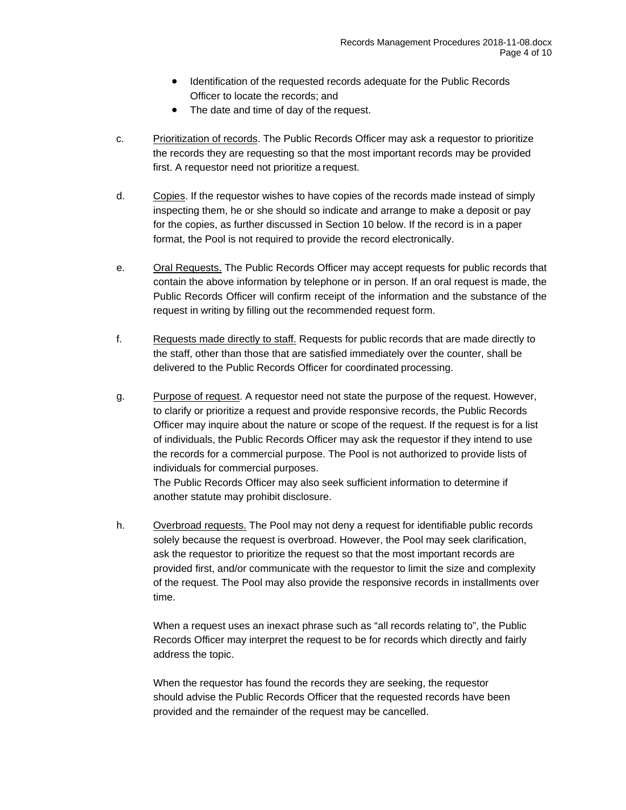- Identification of the requested records adequate for the Public Records Officer to locate the records; and
- The date and time of day of the request.
- c. Prioritization of records. The Public Records Officer may ask a requestor to prioritize the records they are requesting so that the most important records may be provided first. A requestor need not prioritize a request.
- d. Copies. If the requestor wishes to have copies of the records made instead of simply inspecting them, he or she should so indicate and arrange to make a deposit or pay for the copies, as further discussed in Section 10 below. If the record is in a paper format, the Pool is not required to provide the record electronically.
- e. Oral Requests. The Public Records Officer may accept requests for public records that contain the above information by telephone or in person. If an oral request is made, the Public Records Officer will confirm receipt of the information and the substance of the request in writing by filling out the recommended request form.
- f. Requests made directly to staff. Requests for public records that are made directly to the staff, other than those that are satisfied immediately over the counter, shall be delivered to the Public Records Officer for coordinated processing.
- g. Purpose of request. A requestor need not state the purpose of the request. However, to clarify or prioritize a request and provide responsive records, the Public Records Officer may inquire about the nature or scope of the request. If the request is for a list of individuals, the Public Records Officer may ask the requestor if they intend to use the records for a commercial purpose. The Pool is not authorized to provide lists of individuals for commercial purposes.

The Public Records Officer may also seek sufficient information to determine if another statute may prohibit disclosure.

h. Overbroad requests. The Pool may not deny a request for identifiable public records solely because the request is overbroad. However, the Pool may seek clarification, ask the requestor to prioritize the request so that the most important records are provided first, and/or communicate with the requestor to limit the size and complexity of the request. The Pool may also provide the responsive records in installments over time.

When a request uses an inexact phrase such as "all records relating to", the Public Records Officer may interpret the request to be for records which directly and fairly address the topic.

When the requestor has found the records they are seeking, the requestor should advise the Public Records Officer that the requested records have been provided and the remainder of the request may be cancelled.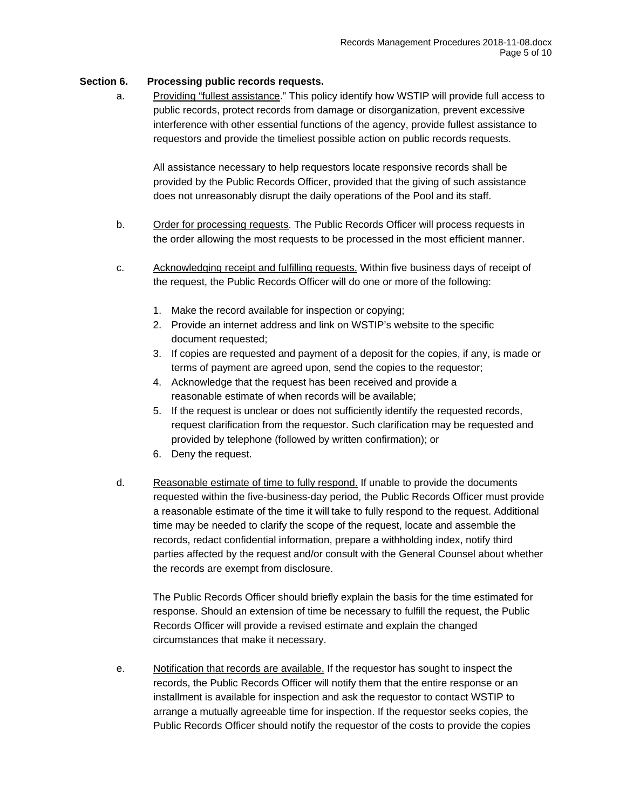## **Section 6. Processing public records requests.**

a. Providing "fullest assistance." This policy identify how WSTIP will provide full access to public records, protect records from damage or disorganization, prevent excessive interference with other essential functions of the agency, provide fullest assistance to requestors and provide the timeliest possible action on public records requests.

All assistance necessary to help requestors locate responsive records shall be provided by the Public Records Officer, provided that the giving of such assistance does not unreasonably disrupt the daily operations of the Pool and its staff.

- b. Order for processing requests. The Public Records Officer will process requests in the order allowing the most requests to be processed in the most efficient manner.
- c. Acknowledging receipt and fulfilling requests. Within five business days of receipt of the request, the Public Records Officer will do one or more of the following:
	- 1. Make the record available for inspection or copying;
	- 2. Provide an internet address and link on WSTIP's website to the specific document requested;
	- 3. If copies are requested and payment of a deposit for the copies, if any, is made or terms of payment are agreed upon, send the copies to the requestor;
	- 4. Acknowledge that the request has been received and provide a reasonable estimate of when records will be available;
	- 5. If the request is unclear or does not sufficiently identify the requested records, request clarification from the requestor. Such clarification may be requested and provided by telephone (followed by written confirmation); or
	- 6. Deny the request.
- d. Reasonable estimate of time to fully respond. If unable to provide the documents requested within the five-business-day period, the Public Records Officer must provide a reasonable estimate of the time it will take to fully respond to the request. Additional time may be needed to clarify the scope of the request, locate and assemble the records, redact confidential information, prepare a withholding index, notify third parties affected by the request and/or consult with the General Counsel about whether the records are exempt from disclosure.

The Public Records Officer should briefly explain the basis for the time estimated for response. Should an extension of time be necessary to fulfill the request, the Public Records Officer will provide a revised estimate and explain the changed circumstances that make it necessary.

e. Notification that records are available. If the requestor has sought to inspect the records, the Public Records Officer will notify them that the entire response or an installment is available for inspection and ask the requestor to contact WSTIP to arrange a mutually agreeable time for inspection. If the requestor seeks copies, the Public Records Officer should notify the requestor of the costs to provide the copies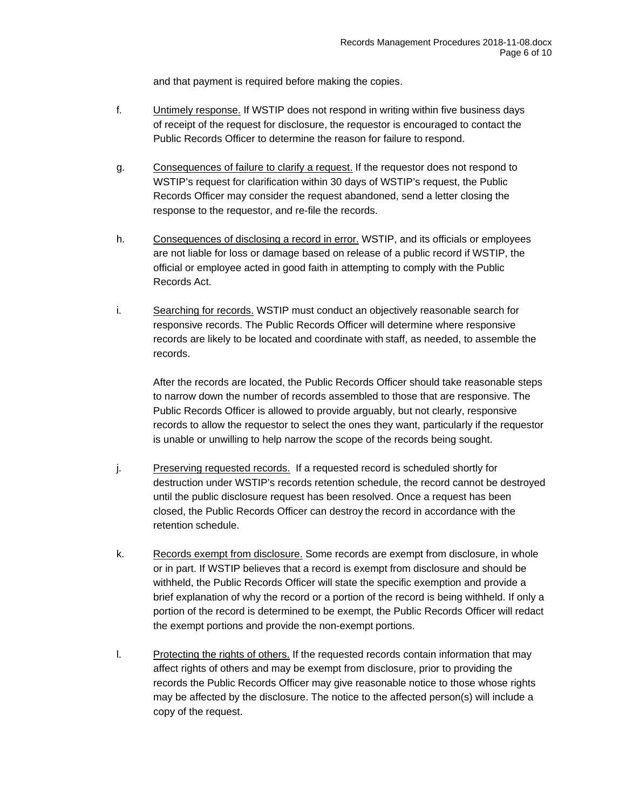and that payment is required before making the copies.

- f. Untimely response. If WSTIP does not respond in writing within five business days of receipt of the request for disclosure, the requestor is encouraged to contact the Public Records Officer to determine the reason for failure to respond.
- g. Consequences of failure to clarify a request. If the requestor does not respond to WSTIP's request for clarification within 30 days of WSTIP's request, the Public Records Officer may consider the request abandoned, send a letter closing the response to the requestor, and re-file the records.
- h. Consequences of disclosing a record in error. WSTIP, and its officials or employees are not liable for loss or damage based on release of a public record if WSTIP, the official or employee acted in good faith in attempting to comply with the Public Records Act.
- i. Searching for records. WSTIP must conduct an objectively reasonable search for responsive records. The Public Records Officer will determine where responsive records are likely to be located and coordinate with staff, as needed, to assemble the records.

After the records are located, the Public Records Officer should take reasonable steps to narrow down the number of records assembled to those that are responsive. The Public Records Officer is allowed to provide arguably, but not clearly, responsive records to allow the requestor to select the ones they want, particularly if the requestor is unable or unwilling to help narrow the scope of the records being sought.

- j. Preserving requested records. If a requested record is scheduled shortly for destruction under WSTIP's records retention schedule, the record cannot be destroyed until the public disclosure request has been resolved. Once a request has been closed, the Public Records Officer can destroy the record in accordance with the retention schedule.
- k. Records exempt from disclosure. Some records are exempt from disclosure, in whole or in part. If WSTIP believes that a record is exempt from disclosure and should be withheld, the Public Records Officer will state the specific exemption and provide a brief explanation of why the record or a portion of the record is being withheld. If only a portion of the record is determined to be exempt, the Public Records Officer will redact the exempt portions and provide the non-exempt portions.
- l. Protecting the rights of others. If the requested records contain information that may affect rights of others and may be exempt from disclosure, prior to providing the records the Public Records Officer may give reasonable notice to those whose rights may be affected by the disclosure. The notice to the affected person(s) will include a copy of the request.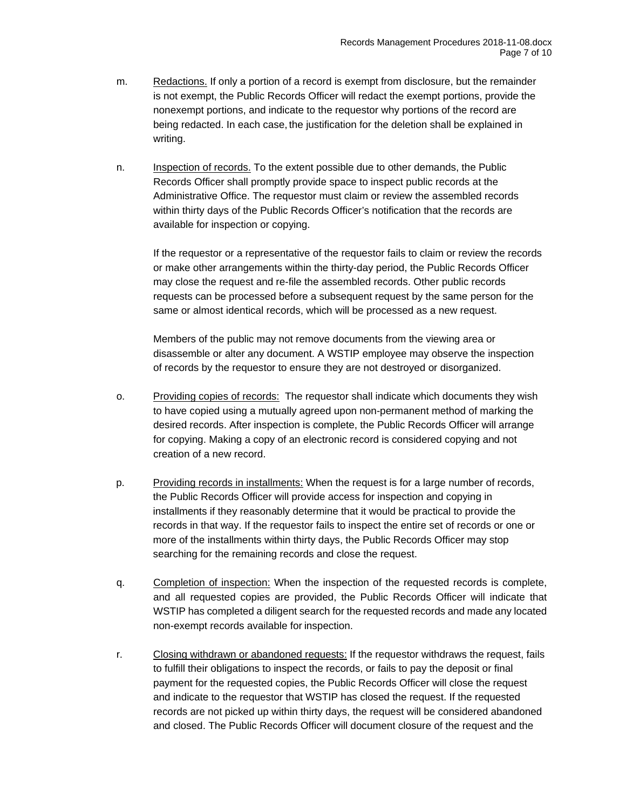- m. Redactions. If only a portion of a record is exempt from disclosure, but the remainder is not exempt, the Public Records Officer will redact the exempt portions, provide the nonexempt portions, and indicate to the requestor why portions of the record are being redacted. In each case, the justification for the deletion shall be explained in writing.
- n. Inspection of records. To the extent possible due to other demands, the Public Records Officer shall promptly provide space to inspect public records at the Administrative Office. The requestor must claim or review the assembled records within thirty days of the Public Records Officer's notification that the records are available for inspection or copying.

If the requestor or a representative of the requestor fails to claim or review the records or make other arrangements within the thirty-day period, the Public Records Officer may close the request and re-file the assembled records. Other public records requests can be processed before a subsequent request by the same person for the same or almost identical records, which will be processed as a new request.

Members of the public may not remove documents from the viewing area or disassemble or alter any document. A WSTIP employee may observe the inspection of records by the requestor to ensure they are not destroyed or disorganized.

- o. Providing copies of records: The requestor shall indicate which documents they wish to have copied using a mutually agreed upon non-permanent method of marking the desired records. After inspection is complete, the Public Records Officer will arrange for copying. Making a copy of an electronic record is considered copying and not creation of a new record.
- p. Providing records in installments: When the request is for a large number of records, the Public Records Officer will provide access for inspection and copying in installments if they reasonably determine that it would be practical to provide the records in that way. If the requestor fails to inspect the entire set of records or one or more of the installments within thirty days, the Public Records Officer may stop searching for the remaining records and close the request.
- q. Completion of inspection: When the inspection of the requested records is complete, and all requested copies are provided, the Public Records Officer will indicate that WSTIP has completed a diligent search for the requested records and made any located non-exempt records available for inspection.
- r. Closing withdrawn or abandoned requests: If the requestor withdraws the request, fails to fulfill their obligations to inspect the records, or fails to pay the deposit or final payment for the requested copies, the Public Records Officer will close the request and indicate to the requestor that WSTIP has closed the request. If the requested records are not picked up within thirty days, the request will be considered abandoned and closed. The Public Records Officer will document closure of the request and the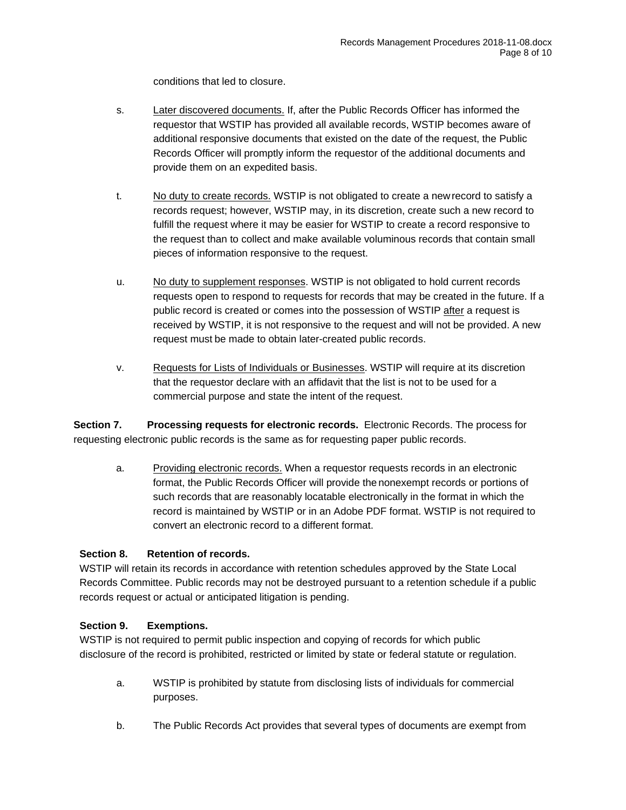conditions that led to closure.

- s. Later discovered documents. If, after the Public Records Officer has informed the requestor that WSTIP has provided all available records, WSTIP becomes aware of additional responsive documents that existed on the date of the request, the Public Records Officer will promptly inform the requestor of the additional documents and provide them on an expedited basis.
- t. No duty to create records. WSTIP is not obligated to create a new record to satisfy a records request; however, WSTIP may, in its discretion, create such a new record to fulfill the request where it may be easier for WSTIP to create a record responsive to the request than to collect and make available voluminous records that contain small pieces of information responsive to the request.
- u. No duty to supplement responses. WSTIP is not obligated to hold current records requests open to respond to requests for records that may be created in the future. If a public record is created or comes into the possession of WSTIP after a request is received by WSTIP, it is not responsive to the request and will not be provided. A new request must be made to obtain later-created public records.
- v. Requests for Lists of Individuals or Businesses. WSTIP will require at its discretion that the requestor declare with an affidavit that the list is not to be used for a commercial purpose and state the intent of the request.

**Section 7. Processing requests for electronic records.** Electronic Records. The process for requesting electronic public records is the same as for requesting paper public records.

a. Providing electronic records. When a requestor requests records in an electronic format, the Public Records Officer will provide the nonexempt records or portions of such records that are reasonably locatable electronically in the format in which the record is maintained by WSTIP or in an Adobe PDF format. WSTIP is not required to convert an electronic record to a different format.

# **Section 8. Retention of records.**

WSTIP will retain its records in accordance with retention schedules approved by the State Local Records Committee. Public records may not be destroyed pursuant to a retention schedule if a public records request or actual or anticipated litigation is pending.

#### **Section 9. Exemptions.**

WSTIP is not required to permit public inspection and copying of records for which public disclosure of the record is prohibited, restricted or limited by state or federal statute or regulation.

- a. WSTIP is prohibited by statute from disclosing lists of individuals for commercial purposes.
- b. The Public Records Act provides that several types of documents are exempt from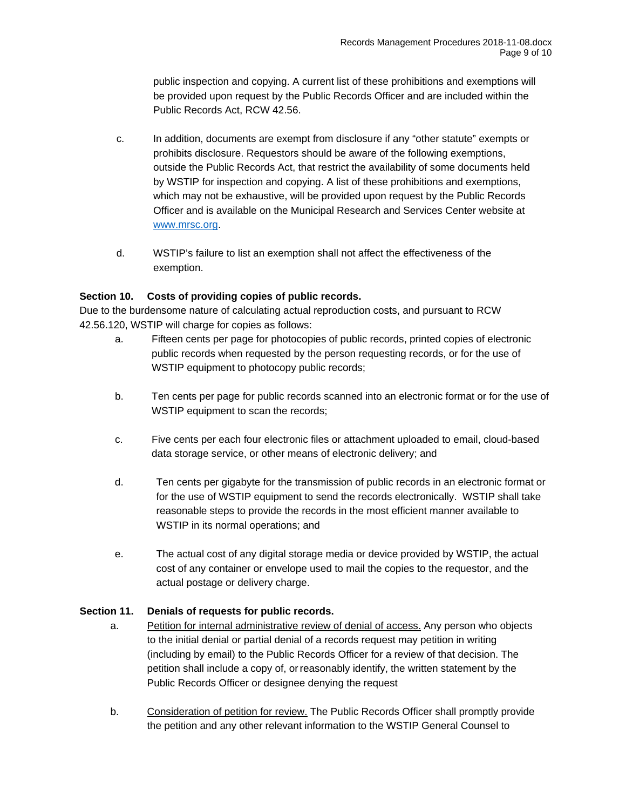public inspection and copying. A current list of these prohibitions and exemptions will be provided upon request by the Public Records Officer and are included within the Public Records Act, RCW 42.56.

- c. In addition, documents are exempt from disclosure if any "other statute" exempts or prohibits disclosure. Requestors should be aware of the following exemptions, outside the Public Records Act, that restrict the availability of some documents held by WSTIP for inspection and copying. A list of these prohibitions and exemptions, which may not be exhaustive, will be provided upon request by the Public Records Officer and is available on the Municipal Research and Services Center website at [www.mrsc.org.](http://www.mrsc.org/)
- d. WSTIP's failure to list an exemption shall not affect the effectiveness of the exemption.

# **Section 10. Costs of providing copies of public records.**

Due to the burdensome nature of calculating actual reproduction costs, and pursuant to RCW 42.56.120, WSTIP will charge for copies as follows:

- a. Fifteen cents per page for photocopies of public records, printed copies of electronic public records when requested by the person requesting records, or for the use of WSTIP equipment to photocopy public records;
- b. Ten cents per page for public records scanned into an electronic format or for the use of WSTIP equipment to scan the records;
- c. Five cents per each four electronic files or attachment uploaded to email, cloud-based data storage service, or other means of electronic delivery; and
- d. Ten cents per gigabyte for the transmission of public records in an electronic format or for the use of WSTIP equipment to send the records electronically. WSTIP shall take reasonable steps to provide the records in the most efficient manner available to WSTIP in its normal operations; and
- e. The actual cost of any digital storage media or device provided by WSTIP, the actual cost of any container or envelope used to mail the copies to the requestor, and the actual postage or delivery charge.

#### **Section 11. Denials of requests for public records.**

- a. Petition for internal administrative review of denial of access. Any person who objects to the initial denial or partial denial of a records request may petition in writing (including by email) to the Public Records Officer for a review of that decision. The petition shall include a copy of, orreasonably identify, the written statement by the Public Records Officer or designee denying the request
- b. Consideration of petition for review. The Public Records Officer shall promptly provide the petition and any other relevant information to the WSTIP General Counsel to